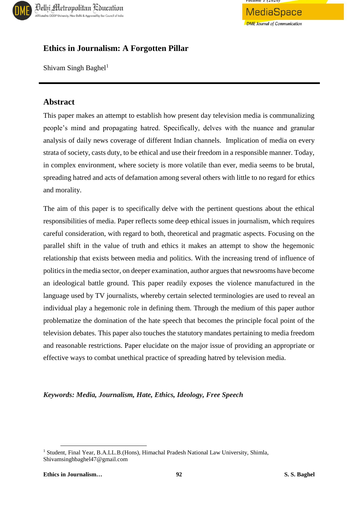



# **Ethics in Journalism: A Forgotten Pillar**

Shivam Singh Baghel<sup>1</sup>

## **Abstract**

This paper makes an attempt to establish how present day television media is communalizing people's mind and propagating hatred. Specifically, delves with the nuance and granular analysis of daily news coverage of different Indian channels. Implication of media on every strata of society, casts duty, to be ethical and use their freedom in a responsible manner. Today, in complex environment, where society is more volatile than ever, media seems to be brutal, spreading hatred and acts of defamation among several others with little to no regard for ethics and morality.

The aim of this paper is to specifically delve with the pertinent questions about the ethical responsibilities of media. Paper reflects some deep ethical issues in journalism, which requires careful consideration, with regard to both, theoretical and pragmatic aspects. Focusing on the parallel shift in the value of truth and ethics it makes an attempt to show the hegemonic relationship that exists between media and politics. With the increasing trend of influence of politics in the media sector, on deeper examination, author argues that newsrooms have become an ideological battle ground. This paper readily exposes the violence manufactured in the language used by TV journalists, whereby certain selected terminologies are used to reveal an individual play a hegemonic role in defining them. Through the medium of this paper author problematize the domination of the hate speech that becomes the principle focal point of the television debates. This paper also touches the statutory mandates pertaining to media freedom and reasonable restrictions. Paper elucidate on the major issue of providing an appropriate or effective ways to combat unethical practice of spreading hatred by television media.

#### *Keywords: Media, Journalism, Hate, Ethics, Ideology, Free Speech*

 $\overline{a}$ 

<sup>&</sup>lt;sup>1</sup> Student, Final Year, B.A.LL.B.(Hons), Himachal Pradesh National Law University, Shimla, Shivamsinghbaghel47@gmail.com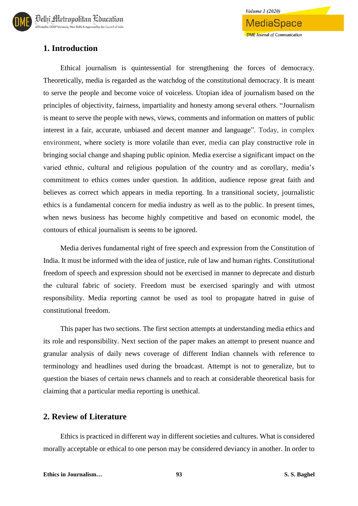# **1. Introduction**

Ethical journalism is quintessential for strengthening the forces of democracy. Theoretically, media is regarded as the watchdog of the constitutional democracy. It is meant to serve the people and become voice of voiceless. Utopian idea of journalism based on the principles of objectivity, fairness, impartiality and honesty among several others. "Journalism is meant to serve the people with news, views, comments and information on matters of public interest in a fair, accurate, unbiased and decent manner and language". Today, in complex environment, where society is more volatile than ever, media can play constructive role in bringing social change and shaping public opinion. Media exercise a significant impact on the varied ethnic, cultural and religious population of the country and as corollary, media's commitment to ethics comes under question. In addition, audience repose great faith and believes as correct which appears in media reporting. In a transitional society, journalistic ethics is a fundamental concern for media industry as well as to the public. In present times, when news business has become highly competitive and based on economic model, the contours of ethical journalism is seems to be ignored.

**Volume 1 (2020)** 

MediaSpace

**DME** Journal of Communication

Media derives fundamental right of free speech and expression from the Constitution of India. It must be informed with the idea of justice, rule of law and human rights. Constitutional freedom of speech and expression should not be exercised in manner to deprecate and disturb the cultural fabric of society. Freedom must be exercised sparingly and with utmost responsibility. Media reporting cannot be used as tool to propagate hatred in guise of constitutional freedom.

This paper has two sections. The first section attempts at understanding media ethics and its role and responsibility. Next section of the paper makes an attempt to present nuance and granular analysis of daily news coverage of different Indian channels with reference to terminology and headlines used during the broadcast. Attempt is not to generalize, but to question the biases of certain news channels and to reach at considerable theoretical basis for claiming that a particular media reporting is unethical.

## **2. Review of Literature**

Ethics is practiced in different way in different societies and cultures. What is considered morally acceptable or ethical to one person may be considered deviancy in another. In order to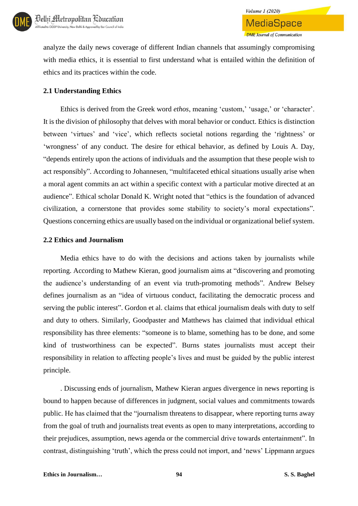

analyze the daily news coverage of different Indian channels that assumingly compromising

**Volume 1 (2020)** 

**MediaSpace** 

**DME** Journal of Communication

with media ethics, it is essential to first understand what is entailed within the definition of ethics and its practices within the code.

#### **2.1 Understanding Ethics**

Ethics is derived from the Greek word *ethos*, meaning 'custom,' 'usage,' or 'character'. It is the division of philosophy that delves with moral behavior or conduct. Ethics is distinction between 'virtues' and 'vice', which reflects societal notions regarding the 'rightness' or 'wrongness' of any conduct. The desire for ethical behavior, as defined by Louis A. Day, "depends entirely upon the actions of individuals and the assumption that these people wish to act responsibly". According to Johannesen, "multifaceted ethical situations usually arise when a moral agent commits an act within a specific context with a particular motive directed at an audience". Ethical scholar Donald K. Wright noted that "ethics is the foundation of advanced civilization, a cornerstone that provides some stability to society's moral expectations". Questions concerning ethics are usually based on the individual or organizational belief system.

#### **2.2 Ethics and Journalism**

Media ethics have to do with the decisions and actions taken by journalists while reporting. According to Mathew Kieran, good journalism aims at "discovering and promoting the audience's understanding of an event via truth-promoting methods". Andrew Belsey defines journalism as an "idea of virtuous conduct, facilitating the democratic process and serving the public interest". Gordon et al. claims that ethical journalism deals with duty to self and duty to others. Similarly, Goodpaster and Matthews has claimed that individual ethical responsibility has three elements: "someone is to blame, something has to be done, and some kind of trustworthiness can be expected". Burns states journalists must accept their responsibility in relation to affecting people's lives and must be guided by the public interest principle.

. Discussing ends of journalism, Mathew Kieran argues divergence in news reporting is bound to happen because of differences in judgment, social values and commitments towards public. He has claimed that the "journalism threatens to disappear, where reporting turns away from the goal of truth and journalists treat events as open to many interpretations, according to their prejudices, assumption, news agenda or the commercial drive towards entertainment". In contrast, distinguishing 'truth', which the press could not import, and 'news' Lippmann argues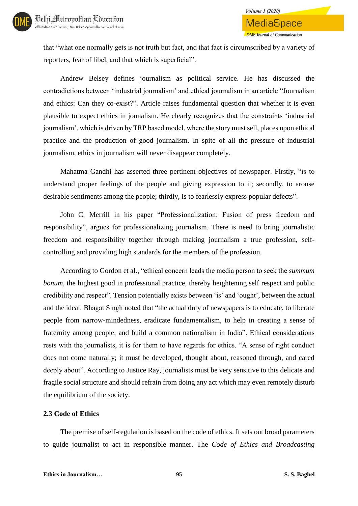that "what one normally gets is not truth but fact, and that fact is circumscribed by a variety of reporters, fear of libel, and that which is superficial".

Andrew Belsey defines journalism as political service. He has discussed the contradictions between 'industrial journalism' and ethical journalism in an article "Journalism and ethics: Can they co-exist?". Article raises fundamental question that whether it is even plausible to expect ethics in jounalism. He clearly recognizes that the constraints 'industrial journalism', which is driven by TRP based model, where the story must sell, places upon ethical practice and the production of good journalism. In spite of all the pressure of industrial journalism, ethics in journalism will never disappear completely.

Mahatma Gandhi has asserted three pertinent objectives of newspaper. Firstly, "is to understand proper feelings of the people and giving expression to it; secondly, to arouse desirable sentiments among the people; thirdly, is to fearlessly express popular defects".

John C. Merrill in his paper "Professionalization: Fusion of press freedom and responsibility", argues for professionalizing journalism. There is need to bring journalistic freedom and responsibility together through making journalism a true profession, selfcontrolling and providing high standards for the members of the profession.

According to Gordon et al., "ethical concern leads the media person to seek the *summum bonum*, the highest good in professional practice, thereby heightening self respect and public credibility and respect". Tension potentially exists between 'is' and 'ought', between the actual and the ideal. Bhagat Singh noted that "the actual duty of newspapers is to educate, to liberate people from narrow-mindedness, eradicate fundamentalism, to help in creating a sense of fraternity among people, and build a common nationalism in India". Ethical considerations rests with the journalists, it is for them to have regards for ethics. "A sense of right conduct does not come naturally; it must be developed, thought about, reasoned through, and cared deeply about". According to Justice Ray, journalists must be very sensitive to this delicate and fragile social structure and should refrain from doing any act which may even remotely disturb the equilibrium of the society.

#### **2.3 Code of Ethics**

The premise of self-regulation is based on the code of ethics. It sets out broad parameters to guide journalist to act in responsible manner. The *Code of Ethics and Broadcasting*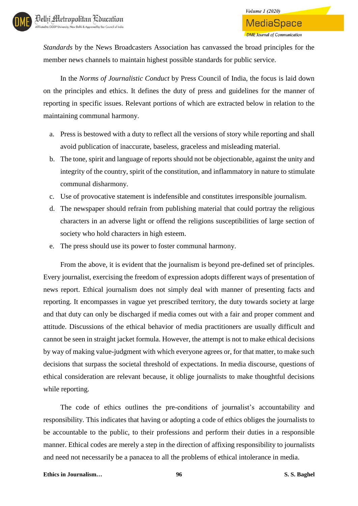*Standards* by the News Broadcasters Association has canvassed the broad principles for the member news channels to maintain highest possible standards for public service.

In the *Norms of Journalistic Conduct* by Press Council of India, the focus is laid down on the principles and ethics. It defines the duty of press and guidelines for the manner of reporting in specific issues. Relevant portions of which are extracted below in relation to the maintaining communal harmony.

- a. Press is bestowed with a duty to reflect all the versions of story while reporting and shall avoid publication of inaccurate, baseless, graceless and misleading material.
- b. The tone, spirit and language of reports should not be objectionable, against the unity and integrity of the country, spirit of the constitution, and inflammatory in nature to stimulate communal disharmony.
- c. Use of provocative statement is indefensible and constitutes irresponsible journalism.
- d. The newspaper should refrain from publishing material that could portray the religious characters in an adverse light or offend the religions susceptibilities of large section of society who hold characters in high esteem.
- e. The press should use its power to foster communal harmony.

From the above, it is evident that the journalism is beyond pre-defined set of principles. Every journalist, exercising the freedom of expression adopts different ways of presentation of news report. Ethical journalism does not simply deal with manner of presenting facts and reporting. It encompasses in vague yet prescribed territory, the duty towards society at large and that duty can only be discharged if media comes out with a fair and proper comment and attitude. Discussions of the ethical behavior of media practitioners are usually difficult and cannot be seen in straight jacket formula. However, the attempt is not to make ethical decisions by way of making value-judgment with which everyone agrees or, for that matter, to make such decisions that surpass the societal threshold of expectations. In media discourse, questions of ethical consideration are relevant because, it oblige journalists to make thoughtful decisions while reporting.

The code of ethics outlines the pre-conditions of journalist's accountability and responsibility. This indicates that having or adopting a code of ethics obliges the journalists to be accountable to the public, to their professions and perform their duties in a responsible manner. Ethical codes are merely a step in the direction of affixing responsibility to journalists and need not necessarily be a panacea to all the problems of ethical intolerance in media.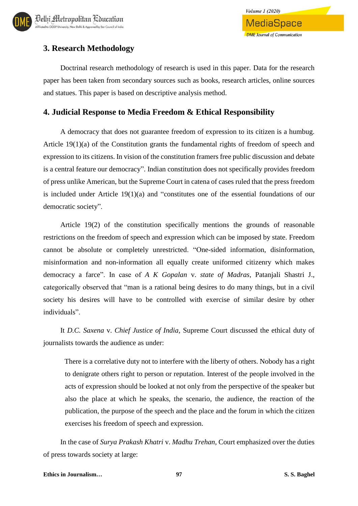

# **3. Research Methodology**

Doctrinal research methodology of research is used in this paper. Data for the research paper has been taken from secondary sources such as books, research articles, online sources and statues. This paper is based on descriptive analysis method.

## **4. Judicial Response to Media Freedom & Ethical Responsibility**

A democracy that does not guarantee freedom of expression to its citizen is a humbug. Article 19(1)(a) of the Constitution grants the fundamental rights of freedom of speech and expression to its citizens. In vision of the constitution framers free public discussion and debate is a central feature our democracy". Indian constitution does not specifically provides freedom of press unlike American, but the Supreme Court in catena of cases ruled that the press freedom is included under Article 19(1)(a) and "constitutes one of the essential foundations of our democratic society".

Article 19(2) of the constitution specifically mentions the grounds of reasonable restrictions on the freedom of speech and expression which can be imposed by state. Freedom cannot be absolute or completely unrestricted. "One-sided information, disinformation, misinformation and non-information all equally create uniformed citizenry which makes democracy a farce". In case of *A K Gopalan* v. *state of Madras*, Patanjali Shastri J., categorically observed that "man is a rational being desires to do many things, but in a civil society his desires will have to be controlled with exercise of similar desire by other individuals".

It *D.C. Saxena* v. *Chief Justice of India*, Supreme Court discussed the ethical duty of journalists towards the audience as under:

There is a correlative duty not to interfere with the liberty of others. Nobody has a right to denigrate others right to person or reputation. Interest of the people involved in the acts of expression should be looked at not only from the perspective of the speaker but also the place at which he speaks, the scenario, the audience, the reaction of the publication, the purpose of the speech and the place and the forum in which the citizen exercises his freedom of speech and expression.

In the case of *Surya Prakash Khatri* v. *Madhu Trehan*, Court emphasized over the duties of press towards society at large: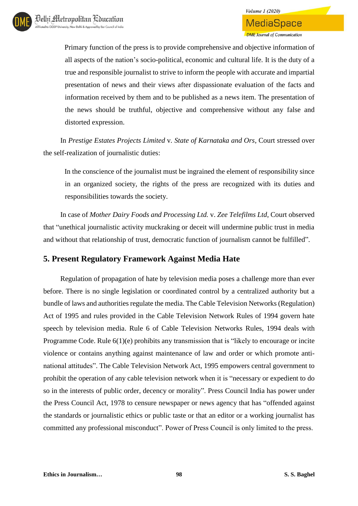Primary function of the press is to provide comprehensive and objective information of all aspects of the nation's socio-political, economic and cultural life. It is the duty of a true and responsible journalist to strive to inform the people with accurate and impartial presentation of news and their views after dispassionate evaluation of the facts and information received by them and to be published as a news item. The presentation of the news should be truthful, objective and comprehensive without any false and distorted expression.

In *Prestige Estates Projects Limited* v*. State of Karnataka and Ors*, Court stressed over the self-realization of journalistic duties:

In the conscience of the journalist must be ingrained the element of responsibility since in an organized society, the rights of the press are recognized with its duties and responsibilities towards the society.

In case of *Mother Dairy Foods and Processing Ltd.* v. *Zee Telefilms Ltd*, Court observed that "unethical journalistic activity muckraking or deceit will undermine public trust in media and without that relationship of trust, democratic function of journalism cannot be fulfilled".

# **5. Present Regulatory Framework Against Media Hate**

Regulation of propagation of hate by television media poses a challenge more than ever before. There is no single legislation or coordinated control by a centralized authority but a bundle of laws and authorities regulate the media. The Cable Television Networks (Regulation) Act of 1995 and rules provided in the Cable Television Network Rules of 1994 govern hate speech by television media. Rule 6 of Cable Television Networks Rules, 1994 deals with Programme Code. Rule 6(1)(e) prohibits any transmission that is "likely to encourage or incite violence or contains anything against maintenance of law and order or which promote antinational attitudes". The Cable Television Network Act, 1995 empowers central government to prohibit the operation of any cable television network when it is "necessary or expedient to do so in the interests of public order, decency or morality". Press Council India has power under the Press Council Act, 1978 to censure newspaper or news agency that has "offended against the standards or journalistic ethics or public taste or that an editor or a working journalist has committed any professional misconduct". Power of Press Council is only limited to the press.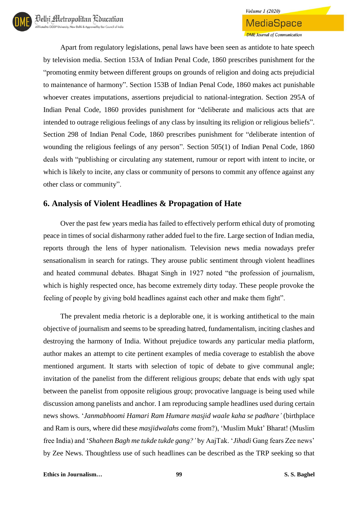Apart from regulatory legislations, penal laws have been seen as antidote to hate speech by television media. Section 153A of Indian Penal Code, 1860 prescribes punishment for the "promoting enmity between different groups on grounds of religion and doing acts prejudicial to maintenance of harmony". Section 153B of Indian Penal Code, 1860 makes act punishable whoever creates imputations, assertions prejudicial to national-integration. Section 295A of Indian Penal Code, 1860 provides punishment for "deliberate and malicious acts that are intended to outrage religious feelings of any class by insulting its religion or religious beliefs". Section 298 of Indian Penal Code, 1860 prescribes punishment for "deliberate intention of wounding the religious feelings of any person". Section 505(1) of Indian Penal Code, 1860 deals with "publishing or circulating any statement, rumour or report with intent to incite, or which is likely to incite, any class or community of persons to commit any offence against any other class or community".

## **6. Analysis of Violent Headlines & Propagation of Hate**

Over the past few years media has failed to effectively perform ethical duty of promoting peace in times of social disharmony rather added fuel to the fire. Large section of Indian media, reports through the lens of hyper nationalism. Television news media nowadays prefer sensationalism in search for ratings. They arouse public sentiment through violent headlines and heated communal debates. Bhagat Singh in 1927 noted "the profession of journalism, which is highly respected once, has become extremely dirty today. These people provoke the feeling of people by giving bold headlines against each other and make them fight".

The prevalent media rhetoric is a deplorable one, it is working antithetical to the main objective of journalism and seems to be spreading hatred, fundamentalism, inciting clashes and destroying the harmony of India. Without prejudice towards any particular media platform, author makes an attempt to cite pertinent examples of media coverage to establish the above mentioned argument. It starts with selection of topic of debate to give communal angle; invitation of the panelist from the different religious groups; debate that ends with ugly spat between the panelist from opposite religious group; provocative language is being used while discussion among panelists and anchor. I am reproducing sample headlines used during certain news shows. '*Janmabhoomi Hamari Ram Humare masjid waale kaha se padhare'* (birthplace and Ram is ours, where did these *masjidwalahs* come from?), 'Muslim Mukt' Bharat! (Muslim free India) and '*Shaheen Bagh me tukde tukde gang?'* by AajTak. '*Jihadi* Gang fears Zee news' by Zee News. Thoughtless use of such headlines can be described as the TRP seeking so that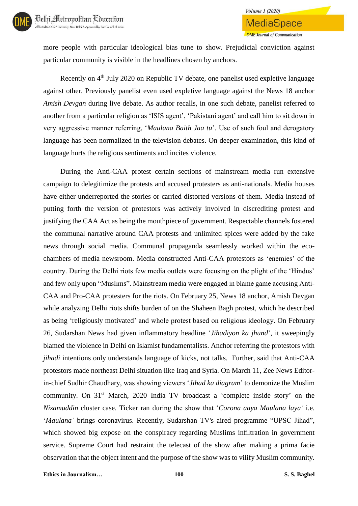

more people with particular ideological bias tune to show. Prejudicial conviction against particular community is visible in the headlines chosen by anchors.

Recently on 4<sup>th</sup> July 2020 on Republic TV debate, one panelist used expletive language against other. Previously panelist even used expletive language against the News 18 anchor *Amish Devgan* during live debate. As author recalls, in one such debate, panelist referred to another from a particular religion as 'ISIS agent', 'Pakistani agent' and call him to sit down in very aggressive manner referring, '*Maulana Baith Jaa tu*'. Use of such foul and derogatory language has been normalized in the television debates. On deeper examination, this kind of language hurts the religious sentiments and incites violence.

During the Anti-CAA protest certain sections of mainstream media run extensive campaign to delegitimize the protests and accused protesters as anti-nationals. Media houses have either underreported the stories or carried distorted versions of them. Media instead of putting forth the version of protestors was actively involved in discrediting protest and justifying the CAA Act as being the mouthpiece of government. Respectable channels fostered the communal narrative around CAA protests and unlimited spices were added by the fake news through social media. Communal propaganda seamlessly worked within the ecochambers of media newsroom. Media constructed Anti-CAA protestors as 'enemies' of the country. During the Delhi riots few media outlets were focusing on the plight of the 'Hindus' and few only upon "Muslims". Mainstream media were engaged in blame game accusing Anti-CAA and Pro-CAA protesters for the riots. On February 25, News 18 anchor, Amish Devgan while analyzing Delhi riots shifts burden of on the Shaheen Bagh protest, which he described as being 'religiously motivated' and whole protest based on religious ideology. On February 26, Sudarshan News had given inflammatory headline '*Jihadiyon ka jhund*', it sweepingly blamed the violence in Delhi on Islamist fundamentalists. Anchor referring the protestors with *jihadi* intentions only understands language of kicks, not talks. Further, said that Anti-CAA protestors made northeast Delhi situation like Iraq and Syria. On March 11, Zee News Editorin-chief Sudhir Chaudhary, was showing viewers '*Jihad ka diagram*' to demonize the Muslim community. On 31<sup>st</sup> March, 2020 India TV broadcast a 'complete inside story' on the *Nizamuddin* cluster case. Ticker ran during the show that '*Corona aaya Maulana laya'* i.e. '*Maulana'* brings coronavirus. Recently, Sudarshan TV's aired programme "UPSC Jihad", which showed big expose on the conspiracy regarding Muslims infiltration in government service. Supreme Court had restraint the telecast of the show after making a prima facie observation that the object intent and the purpose of the show was to vilify Muslim community.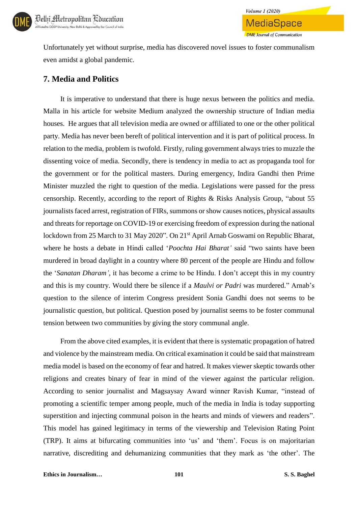

Unfortunately yet without surprise, media has discovered novel issues to foster communalism even amidst a global pandemic.

**Volume 1 (2020)** 

**MediaSpace** 

**DME Journal of Communication** 

### **7. Media and Politics**

It is imperative to understand that there is huge nexus between the politics and media. Malla in his article for website Medium analyzed the ownership structure of Indian media houses. He argues that all television media are owned or affiliated to one or the other political party. Media has never been bereft of political intervention and it is part of political process. In relation to the media, problem is twofold. Firstly, ruling government always tries to muzzle the dissenting voice of media. Secondly, there is tendency in media to act as propaganda tool for the government or for the political masters. During emergency, Indira Gandhi then Prime Minister muzzled the right to question of the media. Legislations were passed for the press censorship. Recently, according to the report of Rights & Risks Analysis Group, "about 55 journalists faced arrest, registration of FIRs, summons or show causes notices, physical assaults and threats for reportage on COVID-19 or exercising freedom of expression during the national lockdown from 25 March to 31 May 2020". On 21<sup>st</sup> April Arnab Goswami on Republic Bharat, where he hosts a debate in Hindi called '*Poochta Hai Bharat'* said "two saints have been murdered in broad daylight in a country where 80 percent of the people are Hindu and follow the '*Sanatan Dharam'*, it has become a crime to be Hindu. I don't accept this in my country and this is my country. Would there be silence if a *Maulvi or Padri* was murdered." Arnab's question to the silence of interim Congress president Sonia Gandhi does not seems to be journalistic question, but political. Question posed by journalist seems to be foster communal tension between two communities by giving the story communal angle.

From the above cited examples, it is evident that there is systematic propagation of hatred and violence by the mainstream media. On critical examination it could be said that mainstream media model is based on the economy of fear and hatred. It makes viewer skeptic towards other religions and creates binary of fear in mind of the viewer against the particular religion. According to senior journalist and Magsaysay Award winner Ravish Kumar, "instead of promoting a scientific temper among people, much of the media in India is today supporting superstition and injecting communal poison in the hearts and minds of viewers and readers". This model has gained legitimacy in terms of the viewership and Television Rating Point (TRP). It aims at bifurcating communities into 'us' and 'them'. Focus is on majoritarian narrative, discrediting and dehumanizing communities that they mark as 'the other'. The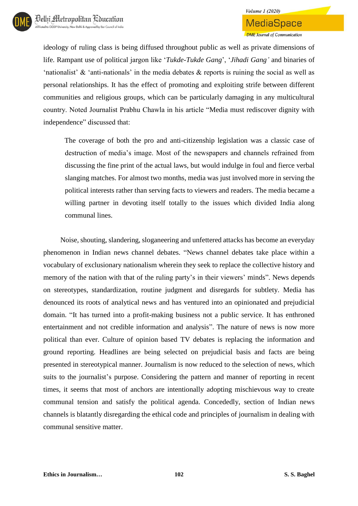ideology of ruling class is being diffused throughout public as well as private dimensions of life. Rampant use of political jargon like '*Tukde-Tukde Gang*', '*Jihadi Gang'* and binaries of 'nationalist' & 'anti-nationals' in the media debates & reports is ruining the social as well as personal relationships. It has the effect of promoting and exploiting strife between different communities and religious groups, which can be particularly damaging in any multicultural country. Noted Journalist Prabhu Chawla in his article "Media must rediscover dignity with independence" discussed that:

The coverage of both the pro and anti-citizenship legislation was a classic case of destruction of media's image. Most of the newspapers and channels refrained from discussing the fine print of the actual laws, but would indulge in foul and fierce verbal slanging matches. For almost two months, media was just involved more in serving the political interests rather than serving facts to viewers and readers. The media became a willing partner in devoting itself totally to the issues which divided India along communal lines.

Noise, shouting, slandering, sloganeering and unfettered attacks has become an everyday phenomenon in Indian news channel debates. "News channel debates take place within a vocabulary of exclusionary nationalism wherein they seek to replace the collective history and memory of the nation with that of the ruling party's in their viewers' minds". News depends on stereotypes, standardization, routine judgment and disregards for subtlety. Media has denounced its roots of analytical news and has ventured into an opinionated and prejudicial domain. "It has turned into a profit-making business not a public service. It has enthroned entertainment and not credible information and analysis". The nature of news is now more political than ever. Culture of opinion based TV debates is replacing the information and ground reporting. Headlines are being selected on prejudicial basis and facts are being presented in stereotypical manner. Journalism is now reduced to the selection of news, which suits to the journalist's purpose. Considering the pattern and manner of reporting in recent times, it seems that most of anchors are intentionally adopting mischievous way to create communal tension and satisfy the political agenda. Concededly, section of Indian news channels is blatantly disregarding the ethical code and principles of journalism in dealing with communal sensitive matter.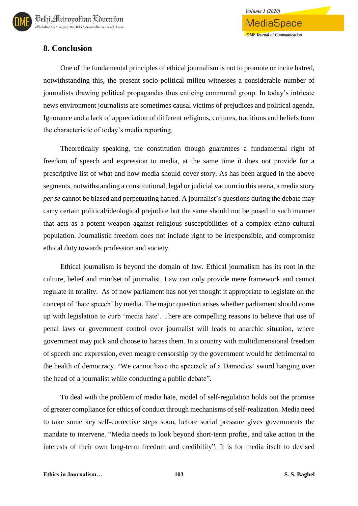# **8. Conclusion**

One of the fundamental principles of ethical journalism is not to promote or incite hatred, notwithstanding this, the present socio-political milieu witnesses a considerable number of journalists drawing political propagandas thus enticing communal group. In today's intricate news environment journalists are sometimes causal victims of prejudices and political agenda. Ignorance and a lack of appreciation of different religions, cultures, traditions and beliefs form the characteristic of today's media reporting.

**Volume 1 (2020)** 

MediaSpace

**DME** Journal of Communication

Theoretically speaking, the constitution though guarantees a fundamental right of freedom of speech and expression to media, at the same time it does not provide for a prescriptive list of what and how media should cover story. As has been argued in the above segments, notwithstanding a constitutional, legal or judicial vacuum in this arena, a media story *per se* cannot be biased and perpetuating hatred. A journalist's questions during the debate may carry certain political/ideological prejudice but the same should not be posed in such manner that acts as a potent weapon against religious susceptibilities of a complex ethno-cultural population. Journalistic freedom does not include right to be irresponsible, and compromise ethical duty towards profession and society.

Ethical journalism is beyond the domain of law. Ethical journalism has its root in the culture, belief and mindset of journalist. Law can only provide mere framework and cannot regulate in totality. As of now parliament has not yet thought it appropriate to legislate on the concept of 'hate speech' by media. The major question arises whether parliament should come up with legislation to curb 'media hate'. There are compelling reasons to believe that use of penal laws or government control over journalist will leads to anarchic situation, where government may pick and choose to harass them. In a country with multidimensional freedom of speech and expression, even meagre censorship by the government would be detrimental to the health of democracy. "We cannot have the spectacle of a Damocles' sword hanging over the head of a journalist while conducting a public debate".

To deal with the problem of media hate, model of self-regulation holds out the promise of greater compliance for ethics of conduct through mechanisms of self-realization. Media need to take some key self-corrective steps soon, before social pressure gives governments the mandate to intervene. "Media needs to look beyond short-term profits, and take action in the interests of their own long-term freedom and credibility". It is for media itself to devised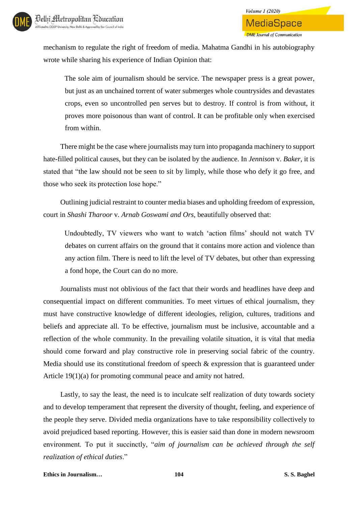mechanism to regulate the right of freedom of media. Mahatma Gandhi in his autobiography wrote while sharing his experience of Indian Opinion that:

The sole aim of journalism should be service. The newspaper press is a great power, but just as an unchained torrent of water submerges whole countrysides and devastates crops, even so uncontrolled pen serves but to destroy. If control is from without, it proves more poisonous than want of control. It can be profitable only when exercised from within.

There might be the case where journalists may turn into propaganda machinery to support hate-filled political causes, but they can be isolated by the audience. In *Jennison* v. *Baker*, it is stated that "the law should not be seen to sit by limply, while those who defy it go free, and those who seek its protection lose hope."

Outlining judicial restraint to counter media biases and upholding freedom of expression, court in *Shashi Tharoor* v*. Arnab Goswami and Ors*, beautifully observed that:

Undoubtedly, TV viewers who want to watch 'action films' should not watch TV debates on current affairs on the ground that it contains more action and violence than any action film. There is need to lift the level of TV debates, but other than expressing a fond hope, the Court can do no more.

Journalists must not oblivious of the fact that their words and headlines have deep and consequential impact on different communities. To meet virtues of ethical journalism, they must have constructive knowledge of different ideologies, religion, cultures, traditions and beliefs and appreciate all. To be effective, journalism must be inclusive, accountable and a reflection of the whole community. In the prevailing volatile situation, it is vital that media should come forward and play constructive role in preserving social fabric of the country. Media should use its constitutional freedom of speech & expression that is guaranteed under Article 19(1)(a) for promoting communal peace and amity not hatred.

Lastly, to say the least, the need is to inculcate self realization of duty towards society and to develop temperament that represent the diversity of thought, feeling, and experience of the people they serve. Divided media organizations have to take responsibility collectively to avoid prejudiced based reporting. However, this is easier said than done in modern newsroom environment. To put it succinctly, "*aim of journalism can be achieved through the self realization of ethical duties*."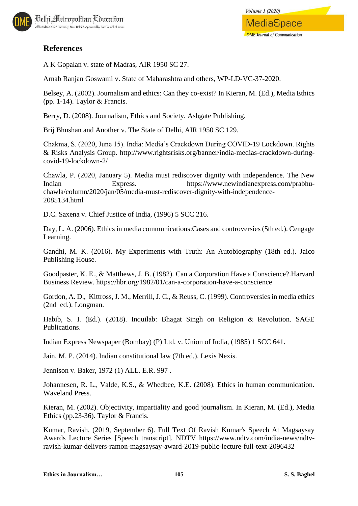

A K Gopalan v. state of Madras, AIR 1950 SC 27.

Arnab Ranjan Goswami v. State of Maharashtra and others, WP-LD-VC-37-2020.

Belsey, A. (2002). Journalism and ethics: Can they co-exist? In Kieran, M. (Ed.), Media Ethics (pp. 1-14). Taylor & Francis.

Berry, D. (2008). Journalism, Ethics and Society. Ashgate Publishing.

Brij Bhushan and Another v. The State of Delhi, AIR 1950 SC 129.

Chakma, S. (2020, June 15). India: Media's Crackdown During COVID-19 Lockdown. Rights & Risks Analysis Group. http://www.rightsrisks.org/banner/india-medias-crackdown-duringcovid-19-lockdown-2/

Chawla, P. (2020, January 5). Media must rediscover dignity with independence. The New Indian Express. https://www.newindianexpress.com/prabhuchawla/column/2020/jan/05/media-must-rediscover-dignity-with-independence-2085134.html

D.C. Saxena v. Chief Justice of India, (1996) 5 SCC 216.

Day, L. A. (2006). Ethics in media communications:Cases and controversies (5th ed.). Cengage Learning.

Gandhi, M. K. (2016). My Experiments with Truth: An Autobiography (18th ed.). Jaico Publishing House.

Goodpaster, K. E., & Matthews, J. B. (1982). Can a Corporation Have a Conscience?.Harvard Business Review. https://hbr.org/1982/01/can-a-corporation-have-a-conscience

Gordon, A. D., Kittross, J. M., Merrill, J. C., & Reuss, C. (1999). Controversies in media ethics (2nd ed.). Longman.

Habib, S. I. (Ed.). (2018). Inquilab: Bhagat Singh on Religion & Revolution. SAGE Publications.

Indian Express Newspaper (Bombay) (P) Ltd. v. Union of India, (1985) 1 SCC 641.

Jain, M. P. (2014). Indian constitutional law (7th ed.). Lexis Nexis.

Jennison v. Baker, 1972 (1) ALL. E.R. 997 .

Johannesen, R. L., Valde, K.S., & Whedbee, K.E. (2008). Ethics in human communication. Waveland Press.

Kieran, M. (2002). Objectivity, impartiality and good journalism. In Kieran, M. (Ed.), Media Ethics (pp.23-36). Taylor & Francis.

Kumar, Ravish. (2019, September 6). Full Text Of Ravish Kumar's Speech At Magsaysay Awards Lecture Series [Speech transcript]. NDTV https://www.ndtv.com/india-news/ndtvravish-kumar-delivers-ramon-magsaysay-award-2019-public-lecture-full-text-2096432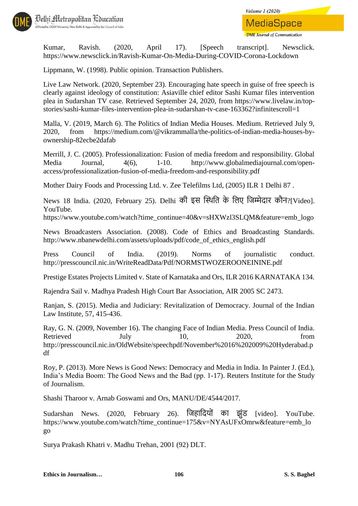



Kumar, Ravish. (2020, April 17). [Speech transcript]. Newsclick. https://www.newsclick.in/Ravish-Kumar-On-Media-During-COVID-Corona-Lockdown

Lippmann, W. (1998). Public opinion. Transaction Publishers.

Live Law Network. (2020, September 23). Encouraging hate speech in guise of free speech is clearly against ideology of constitution: Asiaville chief editor Sashi Kumar files intervention plea in Sudarshan TV case. Retrieved September 24, 2020, from https://www.livelaw.in/topstories/sashi-kumar-files-intervention-plea-in-sudarshan-tv-case-163362?infinitescroll=1

Malla, V. (2019, March 6). The Politics of Indian Media Houses. Medium. Retrieved July 9, 2020, from https://medium.com/@vikrammalla/the-politics-of-indian-media-houses-byownership-82ecbe2dafab

Merrill, J. C. (2005). Professionalization: Fusion of media freedom and responsibility. Global Media Journal, 4(6), 1-10. http://www.globalmediajournal.com/openaccess/professionalization-fusion-of-media-freedom-and-responsibility.pdf

Mother Dairy Foods and Processing Ltd. v. Zee Telefilms Ltd, (2005) ILR 1 Delhi 87 .

News 18 India. (2020, February 25). Delhi की इस स्थिति के तिए तिम्मेदार कौन?[Video]. YouTube.

https://www.youtube.com/watch?time\_continue=40&v=sHXWzl3SLQM&feature=emb\_logo

News Broadcasters Association. (2008). Code of Ethics and Broadcasting Standards. http://www.nbanewdelhi.com/assets/uploads/pdf/code\_of\_ethics\_english.pdf

Press Council of India. (2019). Norms of journalistic conduct. http://presscouncil.nic.in/WriteReadData/Pdf/NORMSTWOZEROONEININE.pdf

Prestige Estates Projects Limited v. State of Karnataka and Ors, ILR 2016 KARNATAKA 134.

Rajendra Sail v. Madhya Pradesh High Court Bar Association, AIR 2005 SC 2473.

Ranjan, S. (2015). Media and Judiciary: Revitalization of Democracy. Journal of the Indian Law Institute, 57, 415-436.

Ray, G. N. (2009, November 16). The changing Face of Indian Media. Press Council of India. Retrieved July 10, 2020, from http://presscouncil.nic.in/OldWebsite/speechpdf/November%2016%202009%20Hyderabad.p df

Roy, P. (2013). More News is Good News: Democracy and Media in India. In Painter J. (Ed.), India's Media Boom: The Good News and the Bad (pp. 1-17). Reuters Institute for the Study of Journalism.

Shashi Tharoor v. Arnab Goswami and Ors, MANU/DE/4544/2017.

Sudarshan News. (2020, February 26). जिहादियों का झूंड [video]. YouTube. https://www.youtube.com/watch?time\_continue=175&v=NYAsUFxOmrw&feature=emb\_lo go

Surya Prakash Khatri v. Madhu Trehan, 2001 (92) DLT.